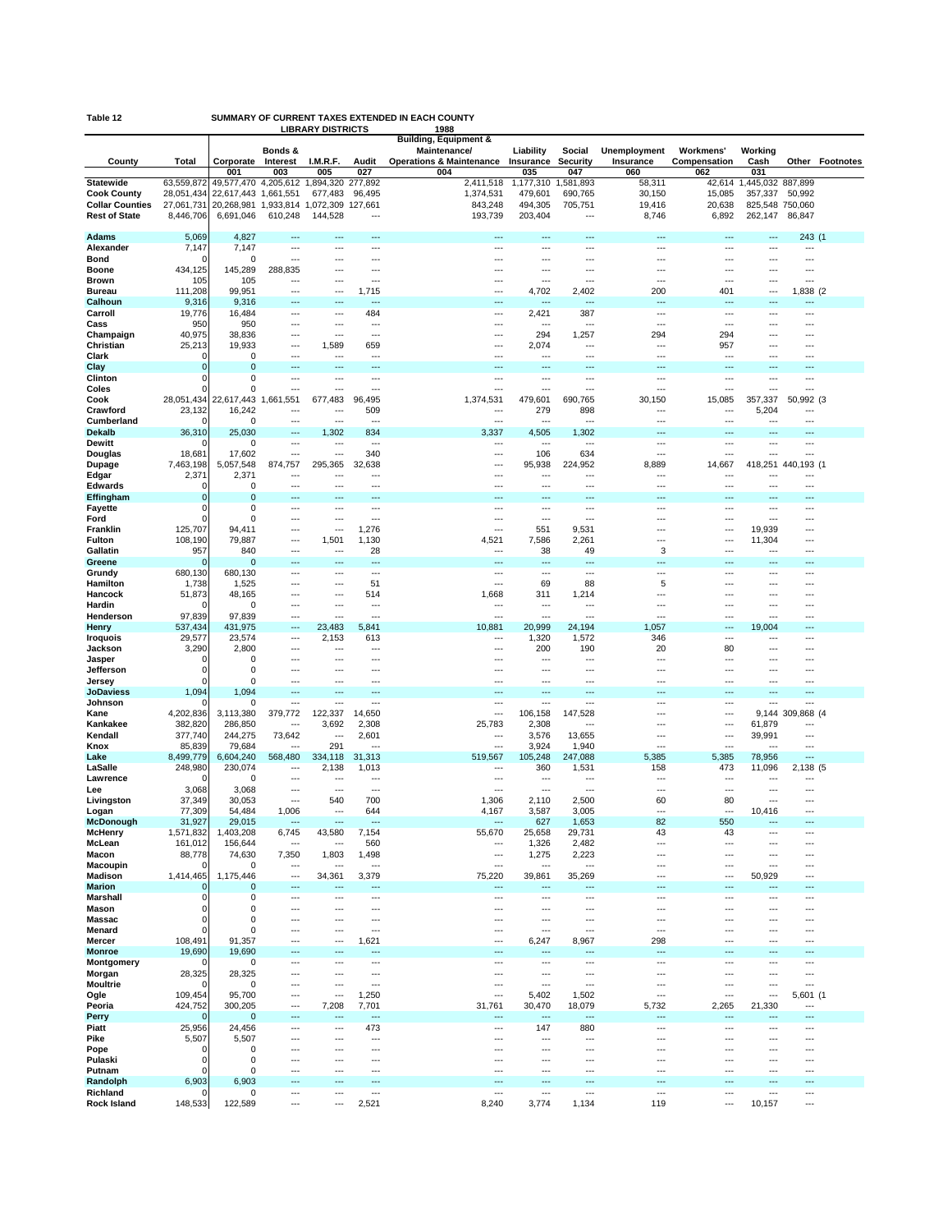| SUMMARY OF CURRENT TAXES EXTENDED IN EACH COUNTY<br>Table 12<br><b>LIBRARY DISTRICTS</b><br>1988 |                            |                                                     |                                            |                  |                 |                                            |                       |                        |                                                      |                          |                            |                         |                 |
|--------------------------------------------------------------------------------------------------|----------------------------|-----------------------------------------------------|--------------------------------------------|------------------|-----------------|--------------------------------------------|-----------------------|------------------------|------------------------------------------------------|--------------------------|----------------------------|-------------------------|-----------------|
|                                                                                                  |                            |                                                     |                                            |                  |                 | <b>Building, Equipment &amp;</b>           |                       |                        |                                                      |                          |                            |                         |                 |
|                                                                                                  |                            |                                                     | Bonds &                                    |                  |                 | Maintenance/                               | Liability             | Social                 | <b>Unemployment</b>                                  | <b>Workmens'</b>         | Working                    |                         |                 |
| County                                                                                           | Total                      | Corporate<br>001                                    | Interest<br>003                            | I.M.R.F.<br>005  | Audit<br>027    | <b>Operations &amp; Maintenance</b><br>004 | Insurance<br>035      | <b>Security</b><br>047 | Insurance<br>060                                     | Compensation<br>062      | Cash<br>031                |                         | Other Footnotes |
| <b>Statewide</b>                                                                                 | 63,559,872                 | 49,577,470 4,205,612                                |                                            | 1,894,320        | 277,892         | 2,411,518                                  | ,177,310              | ,581,893               | 58,311                                               | 42,614                   | ,445,032 887,899           |                         |                 |
| <b>Cook County</b>                                                                               | 28,051,434                 | 22,617,443                                          | 1,661,551                                  | 677,483          | 96,495          | 1,374,531                                  | 479,601               | 690,765                | 30,150                                               | 15,085                   | 357,337                    | 50,992                  |                 |
| <b>Collar Counties</b><br><b>Rest of State</b>                                                   | 27,061,731<br>8,446,706    | 20,268,981 1,933,814 1,072,309 127,661<br>6,691,046 | 610,248                                    | 144.528          | ---             | 843,248<br>193,739                         | 494,305<br>203,404    | 705,751<br>---         | 19,416<br>8,746                                      | 20,638<br>6,892          | 825,548 750,060<br>262,147 | 86.847                  |                 |
|                                                                                                  |                            |                                                     |                                            |                  |                 |                                            |                       |                        |                                                      |                          |                            |                         |                 |
| <b>Adams</b>                                                                                     | 5,069                      | 4,827                                               | $--$                                       | ---              | $--$            | ---                                        | $---$                 | ---                    | ---                                                  |                          | ---                        | 243 (1                  |                 |
| Alexander<br>Bond                                                                                | 7,147<br>n                 | 7,147<br>$\Omega$                                   | ---<br>$\overline{a}$                      | ---<br>---       | ---<br>---      | ---<br>---                                 | ---<br>$---$          | ---<br>---             | ---<br>$\overline{\phantom{a}}$                      | ---<br>---               | ---<br>---                 | ---<br>---              |                 |
| <b>Boone</b>                                                                                     | 434,125                    | 145,289                                             | 288,835                                    | ---              | ---             | ---                                        | $--$                  | ---                    | $\overline{\phantom{a}}$                             | ---                      | ---                        | ---                     |                 |
| <b>Brown</b>                                                                                     | 105                        | 105                                                 | ---                                        | …                | ÷÷              |                                            | ---                   | …                      | …                                                    |                          | ---                        | ---                     |                 |
| Bureau                                                                                           | 111,208                    | 99,951                                              | $\overline{a}$                             | ---              | 1,715<br>---    | ---                                        | 4,702                 | 2,402                  | 200                                                  | 401                      | ---                        | 1,838 (2                |                 |
| Calhoun<br>Carroll                                                                               | 9,316<br>19,776            | 9,316<br>16,484                                     | $--$<br>---                                | ---<br>---       | 484             | ---<br>---                                 | $---$<br>2,421        | 387                    | ---<br>---                                           | $---$<br>---             | ---<br>---                 | ---<br>---              |                 |
| Cass                                                                                             | 950                        | 950                                                 | $\overline{a}$                             | ---              | ---             | ---                                        | ---                   | ---                    | $\overline{\phantom{a}}$                             | $\cdots$                 | ---                        | ---                     |                 |
| Champaign                                                                                        | 40,975                     | 38,836                                              | ---                                        | ---              | ---             | ---                                        | 294                   | 1,257                  | 294                                                  | 294                      | ---                        |                         |                 |
| Christian<br>Clark                                                                               | 25,213<br>$\Omega$         | 19,933<br>$\mathbf 0$                               | ---<br>$\overline{\phantom{a}}$            | 1,589<br>---     | 659<br>---      | ---<br>---                                 | 2,074<br>---          | ---<br>---             | ---<br>---                                           | 957<br>$---$             | ---<br>$--$                | ---                     |                 |
| Clay                                                                                             | 0                          | $\mathbf 0$                                         |                                            |                  |                 |                                            |                       |                        |                                                      |                          | ---                        |                         |                 |
| Clinton                                                                                          | $\Omega$                   | $\mathbf 0$                                         | $\overline{a}$                             | ---              | ---             | ---                                        | $---$                 | ---                    | $\overline{\phantom{a}}$                             | $\cdots$                 | ---                        | ---                     |                 |
| Coles                                                                                            | n                          | $\Omega$                                            | $\overline{\phantom{a}}$                   | ---              | ---             | ---                                        | ---                   | ---                    | $\overline{\phantom{a}}$                             | $---$                    | ---                        | ---                     |                 |
| Cook<br>Crawford                                                                                 | 28,051,434<br>23,132       | 22,617,443 1,661<br>16,242                          | ,551<br>---                                | 677,483<br>---   | 96,495<br>509   | 1,374,531<br>---                           | 479,601<br>279        | 690,765<br>898         | 30,150<br>$\overline{\phantom{a}}$                   | 15,085<br>$\cdots$       | 357,337<br>5,204           | 50,992 (3<br>---        |                 |
| Cumberland                                                                                       | $\Omega$                   | $\mathbf 0$                                         | $\overline{\phantom{a}}$                   | ---              | ---             | ---                                        | $---$                 | ---                    | ---                                                  | $---$                    | ---                        | ---                     |                 |
| <b>Dekalb</b>                                                                                    | 36,310                     | 25,030                                              | ---                                        | 1,302            | 834             | 3,337                                      | 4,505                 | 1,302                  | ---                                                  |                          |                            |                         |                 |
| Dewitt                                                                                           | n                          | $\mathbf 0$                                         | $\overline{a}$<br>$\overline{\phantom{a}}$ | ---<br>---       | ---             | ---<br>---                                 | $---$                 | ---                    | $\overline{\phantom{a}}$                             | $\cdots$                 | ---<br>---                 | ---<br>---              |                 |
| Douglas<br>Dupage                                                                                | 18,681<br>7,463,198        | 17,602<br>5,057,548                                 | 874,757                                    | 295,365          | 340<br>32,638   | ---                                        | 106<br>95,938         | 634<br>224,952         | ---<br>8,889                                         | 14,667                   |                            | 418,251 440,193 (1      |                 |
| Edgar                                                                                            | 2,371                      | 2,371                                               | $---$                                      | ---              | ---             | ---                                        | $---$                 | ---                    |                                                      |                          | ---                        |                         |                 |
| <b>Edwards</b>                                                                                   | 0                          | $\mathbf 0$                                         |                                            | ---              |                 | ---                                        | ---                   | ---                    | ---                                                  |                          | ---                        | ---                     |                 |
| Effingham                                                                                        | $\mathbf 0$<br>$\mathbf 0$ | $\Omega$<br>$\mathbf 0$                             | $\overline{a}$<br>$\overline{\phantom{a}}$ | -−∙              | ---<br>---      | ---                                        | ---                   | ---                    | ---                                                  | $---$                    | $\overline{a}$             | <br>---                 |                 |
| <b>Fayette</b><br>Ford                                                                           | $\Omega$                   | $\mathbf 0$                                         |                                            | ---<br>---       | ---             | …                                          | ---<br>---            | ---<br>---             | ---<br>---                                           | ---                      | ---<br>---                 |                         |                 |
| Franklin                                                                                         | 125,707                    | 94,411                                              | $\overline{\phantom{a}}$                   | ---              | 1,276           | ---                                        | 551                   | 9,531                  | $\overline{\phantom{a}}$                             | $\cdots$                 | 19,939                     | ---                     |                 |
| Fulton                                                                                           | 108,190                    | 79,887                                              | $\overline{\phantom{a}}$                   | 1,501            | 1,130           | 4,521                                      | 7,586                 | 2,261                  | ---                                                  | $--$                     | 11,304                     |                         |                 |
| Gallatin<br>Greene                                                                               | 957<br>$\Omega$            | 840<br>$\mathbf 0$                                  | $\overline{a}$<br>$\overline{a}$           | ---<br>---       | 28<br>---       | ---<br>---                                 | 38<br>$---$           | 49<br>---              | 3<br>$\overline{\phantom{a}}$                        | $\sim$<br>$\overline{a}$ | ---<br>---                 | ---                     |                 |
| Grundy                                                                                           | 680,130                    | 680,130                                             | $\overline{a}$                             | ---              | ---             | ---                                        | ---                   | ---                    | ---                                                  | $--$                     | $--$                       | ---                     |                 |
| Hamilton                                                                                         | 1,738                      | 1,525                                               | $\overline{a}$                             | ---              | 51              | $\overline{a}$                             | 69                    | 88                     | 5                                                    | $\overline{a}$           | ---                        |                         |                 |
| Hancock                                                                                          | 51,873                     | 48,165                                              | $\overline{a}$                             | ---              | 514             | 1,668                                      | 311                   | 1,214                  | $\overline{\phantom{a}}$                             | $\cdots$                 | ---                        | ---                     |                 |
| Hardin<br>Henderson                                                                              | $\Omega$<br>97,839         | $\Omega$<br>97,839                                  | ---<br>$\overline{a}$                      | ---<br>$\sim$    | ---<br>$\sim$   | ---<br>$\overline{a}$                      | ---<br>$\overline{a}$ | ---<br>$\overline{a}$  | ---<br>$\sim$                                        | ---<br>$\sim$            | ---<br>$\overline{a}$      | ---                     |                 |
| Henry                                                                                            | 537,434                    | 431,975                                             | ---                                        | 23,483           | 5,841           | 10,881                                     | 20,999                | 24,194                 | 1,057                                                | $\overline{a}$           | 19,004                     | ---                     |                 |
| <b>Iroquois</b>                                                                                  | 29,577                     | 23,574                                              | ---                                        | 2,153            | 613             | ---                                        | 1,320                 | 1,572                  | 346                                                  | ---                      | ---                        |                         |                 |
| Jackson                                                                                          | 3,290                      | 2,800                                               | $\overline{\phantom{a}}$                   | ---              | ---             | ---                                        | 200                   | 190                    | 20                                                   | 80                       | ---                        | $\overline{a}$          |                 |
| Jasper<br>Jefferson                                                                              | $\Omega$<br>0              | $\mathbf 0$<br>$\mathbf 0$                          | $---$<br>÷÷                                | ---<br>÷÷.       | ---<br>         | ---<br>---                                 | ---<br>---            | ---<br>÷÷.             | $\overline{a}$<br>$\ddotsc$                          | ---                      | $--$<br>÷÷.                |                         |                 |
| Jersey                                                                                           | $\Omega$                   | $\mathbf 0$                                         | $\overline{\phantom{a}}$                   | ---              | ---             | ---                                        | ---                   | ---                    | $\overline{\phantom{a}}$                             | ---                      | ---                        | ---                     |                 |
| <b>JoDaviess</b>                                                                                 | 1,094                      | 1,094                                               | $\overline{\phantom{a}}$                   | ---              | ---             | ---                                        | $---$                 | ---                    | $\overline{\phantom{a}}$                             | $\overline{a}$           | ---                        | ---                     |                 |
| Johnson<br>Kane                                                                                  | 4,202,836                  | 0<br>3,113,380                                      | $\overline{a}$<br>379,772                  | ---<br>122,337   | <br>14,650      | ---<br>---                                 | ---<br>106,158        | ---<br>147,528         | $\overline{\phantom{a}}$<br>$\overline{\phantom{a}}$ | $\cdots$<br>$\cdots$     | ---                        | ---<br>9,144 309,868 (4 |                 |
| Kankakee                                                                                         | 382,820                    | 286,850                                             | $\overline{\phantom{a}}$                   | 3,692            | 2,308           | 25,783                                     | 2,308                 | ---                    |                                                      | $\overline{\phantom{a}}$ | 61,879                     |                         |                 |
| Kendall                                                                                          | 377,740                    | 244,275                                             | 73,642                                     | ---              | 2,601           | ---                                        | 3,576                 | 13,655                 | $\sim$                                               | $\overline{a}$           | 39,991                     | $\overline{a}$          |                 |
| Knox                                                                                             | 85,839                     | 79,684                                              | $\overline{\phantom{a}}$                   | 291              | ---             |                                            | 3,924                 | 1,940                  | $\overline{a}$                                       | $\sim$                   |                            | ---                     |                 |
| Lake<br>LaSalle                                                                                  | 8.499.779<br>248,980       | 6,604,240<br>230,074                                | 568.480<br>$\overline{\phantom{a}}$        | 334.118<br>2,138 | 31,313<br>1,013 | 519,567                                    | 105,248<br>360        | 247,088<br>1,531       | 5,385<br>158                                         | 5,385<br>473             | 78.956<br>11,096           | <br>2,138 (5            |                 |
| Lawrence                                                                                         | $\Omega$                   | $\mathbf 0$                                         | ---                                        |                  | ---             | ---                                        | $--$                  | ---                    | ---                                                  |                          |                            | ---                     |                 |
| Lee                                                                                              | 3,068                      | 3,068                                               | $\overline{a}$                             |                  |                 |                                            | ---                   | ---                    | ---                                                  |                          | ---                        | ---                     |                 |
| Livingston                                                                                       | 37,349                     | 30,053                                              | $\overline{a}$                             | 540<br>---       | 700<br>644      | 1,306                                      | 2,110                 | 2,500                  | 60<br>---                                            | 80<br>---                | $\sim$                     | ---<br>---              |                 |
| Logan<br>McDonough                                                                               | 77,309<br>31,927           | 54,484<br>29,015                                    | 1,006<br>---                               | ---              | …               | 4,167<br>---                               | 3,587<br>627          | 3,005<br>1,653         | 82                                                   | 550                      | 10,416<br>---              |                         |                 |
| <b>McHenry</b>                                                                                   | 1,571,832                  | 1,403,208                                           | 6,745                                      | 43,580           | 7,154           | 55,670                                     | 25,658                | 29,731                 | 43                                                   | 43                       | ---                        | ---                     |                 |
| McLean                                                                                           | 161,012                    | 156,644                                             | $\overline{a}$                             | ---              | 560             | ---                                        | 1,326                 | 2,482                  | $\overline{a}$                                       | $\sim$                   | ---                        | ---                     |                 |
| Macon<br><b>Macoupin</b>                                                                         | 88,778<br>$\Omega$         | 74,630<br>$\mathbf 0$                               | 7,350<br>$\overline{a}$                    | 1,803<br>---     | 1,498<br>---    | ---<br>---                                 | 1,275<br>$---$        | 2,223<br>---           | $\overline{a}$<br>$\overline{\phantom{a}}$           | $\sim$<br>$\cdots$       | ---<br>---                 | ---<br>$\overline{a}$   |                 |
| Madison                                                                                          | 1,414,465                  | 1,175,446                                           | ---                                        | 34,361           | 3,379           | 75,220                                     | 39,861                | 35,269                 | $\overline{a}$                                       | $\overline{\phantom{a}}$ | 50,929                     | ---                     |                 |
| <b>Marion</b>                                                                                    | 0                          | 0                                                   | $\overline{a}$                             | ---              | ---             | ---                                        | ---                   | ---                    | ---                                                  |                          | ---                        | ---                     |                 |
| Marshall                                                                                         | 0                          | $\mathbf 0$                                         | ---                                        | ---              | ---             | ---                                        | ---                   | ---                    | $\overline{\phantom{a}}$                             | $--$                     | ---                        | ---                     |                 |
| Mason<br>Massac                                                                                  | 0<br>0                     | 0<br>0                                              | $\overline{a}$<br>$\overline{\phantom{a}}$ | ш,<br>---        | ---<br>---      | ---<br>---                                 | ---<br>$---$          | <br>---                | ---<br>$\overline{\phantom{a}}$                      | $\overline{a}$<br>---    | ÷÷.<br>---                 | ---<br>---              |                 |
| Menard                                                                                           | $\Omega$                   | $\mathbf 0$                                         | $\overline{a}$                             | ---              | ---             | ---                                        | ---                   | ---                    | $\overline{a}$                                       | $--$                     | ---                        | ---                     |                 |
| <b>Mercer</b>                                                                                    | 108,491                    | 91,357                                              |                                            |                  | 1,621           | ---                                        | 6,247                 | 8,967                  | 298                                                  | $\sim$                   | ÷÷.                        | ---                     |                 |
| <b>Monroe</b>                                                                                    | 19,690                     | 19,690                                              | $\overline{\phantom{a}}$                   | ---              | ---             | ---                                        | $---$                 | ---                    | $\overline{\phantom{a}}$                             | $\overline{a}$           | ---                        | ---                     |                 |
| Montgomery<br>Morgan                                                                             | $\Omega$<br>28,325         | $\Omega$<br>28,325                                  | $\overline{a}$<br>$\overline{a}$           | ---<br>---       | ---<br>         | ---<br>                                    | ---<br>$\overline{a}$ | ---<br>                | ---<br>$\overline{a}$                                | $---$<br>$\sim$          | ---<br>---                 | ---<br>$\sim$           |                 |
| Moultrie                                                                                         | $\Omega$                   | 0                                                   | $\overline{\phantom{a}}$                   | ---              |                 | ---                                        | $---$                 | ---                    | $\overline{\phantom{a}}$                             | $\cdots$                 | ---                        | ---                     |                 |
| Ogle                                                                                             | 109,454                    | 95,700                                              | ---                                        | ---              | 1,250           | ---                                        | 5,402                 | 1,502                  | ---                                                  | ---                      | ---                        | 5,601 (1                |                 |
| Peoria                                                                                           | 424,752                    | 300,205                                             | $\sim$                                     | 7,208            | 7,701           | 31,761                                     | 30,470                | 18,079                 | 5,732                                                | 2,265                    | 21,330                     | ---                     |                 |
| Perry<br>Piatt                                                                                   | $\Omega$<br>25,956         | $\mathbf 0$<br>24,456                               | $--$<br>---                                | ---<br>---       | ---<br>473      | ---                                        | $---$<br>147          | ---<br>880             | ---<br>---                                           | ---                      | ---                        | ---<br>---              |                 |
| Pike                                                                                             | 5,507                      | 5,507                                               | $\overline{a}$                             |                  | …               | $\overline{a}$                             | ---                   | ---                    | ---                                                  | $\overline{a}$           | $\overline{a}$             |                         |                 |
| Pope                                                                                             | $\Omega$                   | 0                                                   | $\sim$                                     | ---              | ---             | ---                                        | ---                   | ---                    | ---                                                  | $--$                     | ---                        | ---                     |                 |
| Pulaski                                                                                          | 0<br>$\Omega$              | 0<br>0                                              | $\overline{a}$                             | <br>---          | ---<br>---      | ---<br>---                                 | ---<br>$---$          | …<br>---               | ---<br>$\overline{\phantom{a}}$                      | ---<br>$\cdots$          | ---<br>---                 | ---<br>---              |                 |
| Putnam<br>Randolph                                                                               | 6,903                      | 6,903                                               | $--$                                       | ---              | ---             | ---                                        | ---                   | ---                    | ---                                                  | $\overline{a}$           | ---                        |                         |                 |
| Richland                                                                                         | C                          | 0                                                   | $\overline{\phantom{a}}$                   | ---              | ---             | ---                                        | ---                   | ---                    | ---                                                  | $\overline{a}$           | ---                        | ---                     |                 |
| <b>Rock Island</b>                                                                               | 148,533                    | 122,589                                             | ---                                        | ---              | 2,521           | 8,240                                      | 3,774                 | 1,134                  | 119                                                  | $\cdots$                 | 10,157                     | ---                     |                 |